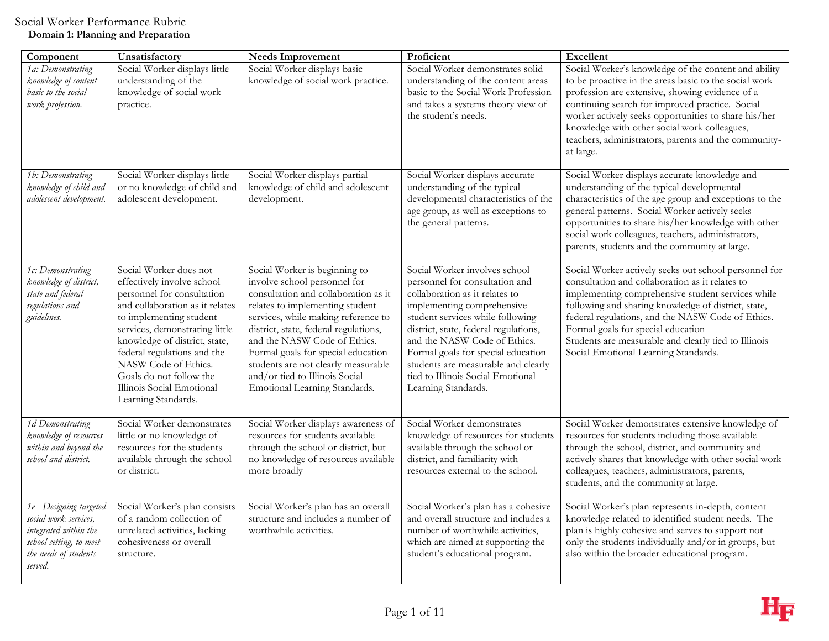| Component                                                                                                                              | Unsatisfactory                                                                                                                                                                                                                                                                                                                                            | <b>Needs Improvement</b>                                                                                                                                                                                                                                                                                                                                                                                 | Proficient                                                                                                                                                                                                                                                                                                                                                                            | Excellent                                                                                                                                                                                                                                                                                                                                                                                                       |
|----------------------------------------------------------------------------------------------------------------------------------------|-----------------------------------------------------------------------------------------------------------------------------------------------------------------------------------------------------------------------------------------------------------------------------------------------------------------------------------------------------------|----------------------------------------------------------------------------------------------------------------------------------------------------------------------------------------------------------------------------------------------------------------------------------------------------------------------------------------------------------------------------------------------------------|---------------------------------------------------------------------------------------------------------------------------------------------------------------------------------------------------------------------------------------------------------------------------------------------------------------------------------------------------------------------------------------|-----------------------------------------------------------------------------------------------------------------------------------------------------------------------------------------------------------------------------------------------------------------------------------------------------------------------------------------------------------------------------------------------------------------|
| 1a: Demonstrating<br>knowledge of content<br>basic to the social<br>work profession.                                                   | Social Worker displays little<br>understanding of the<br>knowledge of social work<br>practice.                                                                                                                                                                                                                                                            | Social Worker displays basic<br>knowledge of social work practice.                                                                                                                                                                                                                                                                                                                                       | Social Worker demonstrates solid<br>understanding of the content areas<br>basic to the Social Work Profession<br>and takes a systems theory view of<br>the student's needs.                                                                                                                                                                                                           | Social Worker's knowledge of the content and ability<br>to be proactive in the areas basic to the social work<br>profession are extensive, showing evidence of a<br>continuing search for improved practice. Social<br>worker actively seeks opportunities to share his/her<br>knowledge with other social work colleagues,<br>teachers, administrators, parents and the community-<br>at large.                |
| 1b: Demonstrating<br>knowledge of child and<br>adolescent development.                                                                 | Social Worker displays little<br>or no knowledge of child and<br>adolescent development.                                                                                                                                                                                                                                                                  | Social Worker displays partial<br>knowledge of child and adolescent<br>development.                                                                                                                                                                                                                                                                                                                      | Social Worker displays accurate<br>understanding of the typical<br>developmental characteristics of the<br>age group, as well as exceptions to<br>the general patterns.                                                                                                                                                                                                               | Social Worker displays accurate knowledge and<br>understanding of the typical developmental<br>characteristics of the age group and exceptions to the<br>general patterns. Social Worker actively seeks<br>opportunities to share his/her knowledge with other<br>social work colleagues, teachers, administrators,<br>parents, students and the community at large.                                            |
| 1c: Demonstrating<br>knowledge of district,<br>state and federal<br>regulations and<br>guidelines.                                     | Social Worker does not<br>effectively involve school<br>personnel for consultation<br>and collaboration as it relates<br>to implementing student<br>services, demonstrating little<br>knowledge of district, state,<br>federal regulations and the<br>NASW Code of Ethics.<br>Goals do not follow the<br>Illinois Social Emotional<br>Learning Standards. | Social Worker is beginning to<br>involve school personnel for<br>consultation and collaboration as it<br>relates to implementing student<br>services, while making reference to<br>district, state, federal regulations,<br>and the NASW Code of Ethics.<br>Formal goals for special education<br>students are not clearly measurable<br>and/or tied to Illinois Social<br>Emotional Learning Standards. | Social Worker involves school<br>personnel for consultation and<br>collaboration as it relates to<br>implementing comprehensive<br>student services while following<br>district, state, federal regulations,<br>and the NASW Code of Ethics.<br>Formal goals for special education<br>students are measurable and clearly<br>tied to Illinois Social Emotional<br>Learning Standards. | Social Worker actively seeks out school personnel for<br>consultation and collaboration as it relates to<br>implementing comprehensive student services while<br>following and sharing knowledge of district, state,<br>federal regulations, and the NASW Code of Ethics.<br>Formal goals for special education<br>Students are measurable and clearly tied to Illinois<br>Social Emotional Learning Standards. |
| 1d Demonstrating<br>knowledge of resources<br>within and beyond the<br>school and district.                                            | Social Worker demonstrates<br>little or no knowledge of<br>resources for the students<br>available through the school<br>or district.                                                                                                                                                                                                                     | Social Worker displays awareness of<br>resources for students available<br>through the school or district, but<br>no knowledge of resources available<br>more broadly                                                                                                                                                                                                                                    | Social Worker demonstrates<br>knowledge of resources for students<br>available through the school or<br>district, and familiarity with<br>resources external to the school.                                                                                                                                                                                                           | Social Worker demonstrates extensive knowledge of<br>resources for students including those available<br>through the school, district, and community and<br>actively shares that knowledge with other social work<br>colleagues, teachers, administrators, parents,<br>students, and the community at large.                                                                                                    |
| 1e Designing targeted<br>social work services,<br>integrated within the<br>school setting, to meet<br>the needs of students<br>served. | Social Worker's plan consists<br>of a random collection of<br>unrelated activities, lacking<br>cohesiveness or overall<br>structure.                                                                                                                                                                                                                      | Social Worker's plan has an overall<br>structure and includes a number of<br>worthwhile activities.                                                                                                                                                                                                                                                                                                      | Social Worker's plan has a cohesive<br>and overall structure and includes a<br>number of worthwhile activities,<br>which are aimed at supporting the<br>student's educational program.                                                                                                                                                                                                | Social Worker's plan represents in-depth, content<br>knowledge related to identified student needs. The<br>plan is highly cohesive and serves to support not<br>only the students individually and/or in groups, but<br>also within the broader educational program.                                                                                                                                            |

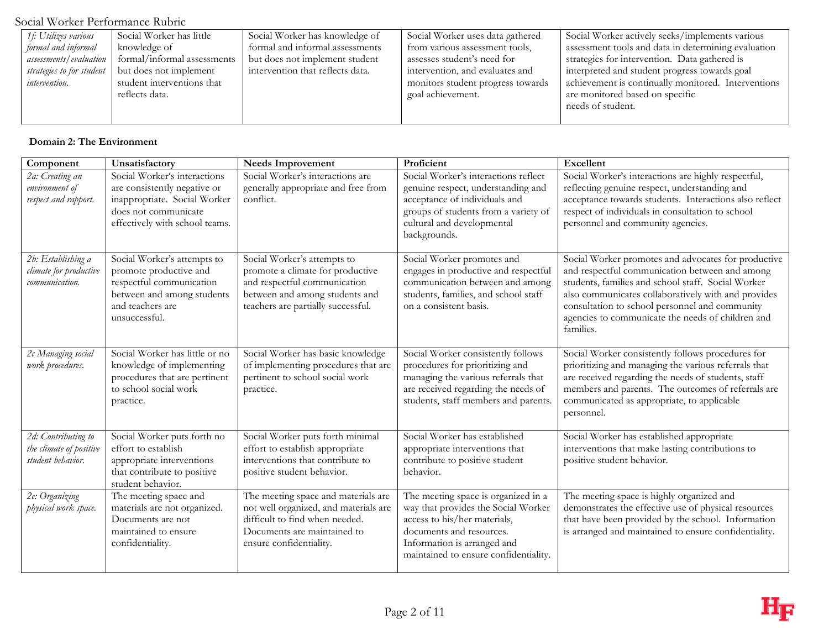| 1 f: Utilizes various     | Social Worker has little    | Social Worker has knowledge of   | Social Worker uses data gathered  | Social Worker actively seeks/implements various     |
|---------------------------|-----------------------------|----------------------------------|-----------------------------------|-----------------------------------------------------|
| formal and informal       | knowledge of                | formal and informal assessments  | from various assessment tools,    | assessment tools and data in determining evaluation |
| assessments/evaluation    | formal/informal assessments | but does not implement student   | assesses student's need for       | strategies for intervention. Data gathered is       |
| strategies to for student | but does not implement      | intervention that reflects data. | intervention, and evaluates and   | interpreted and student progress towards goal       |
| <i>intervention.</i>      | student interventions that  |                                  | monitors student progress towards | achievement is continually monitored. Interventions |
|                           | reflects data.              |                                  | goal achievement.                 | are monitored based on specific                     |
|                           |                             |                                  |                                   | needs of student.                                   |
|                           |                             |                                  |                                   |                                                     |

## **Domain 2: The Environment**

| Component                                                           | Unsatisfactory                                                                                                                                         | <b>Needs Improvement</b>                                                                                                                                                 | Proficient                                                                                                                                                                                                     | <b>Excellent</b>                                                                                                                                                                                                                                                                                                                       |
|---------------------------------------------------------------------|--------------------------------------------------------------------------------------------------------------------------------------------------------|--------------------------------------------------------------------------------------------------------------------------------------------------------------------------|----------------------------------------------------------------------------------------------------------------------------------------------------------------------------------------------------------------|----------------------------------------------------------------------------------------------------------------------------------------------------------------------------------------------------------------------------------------------------------------------------------------------------------------------------------------|
| 2a: Creating an<br>environment of<br>respect and rapport.           | Social Worker's interactions<br>are consistently negative or<br>inappropriate. Social Worker<br>does not communicate<br>effectively with school teams. | Social Worker's interactions are<br>generally appropriate and free from<br>conflict.                                                                                     | Social Worker's interactions reflect<br>genuine respect, understanding and<br>acceptance of individuals and<br>groups of students from a variety of<br>cultural and developmental<br>backgrounds.              | Social Worker's interactions are highly respectful,<br>reflecting genuine respect, understanding and<br>acceptance towards students. Interactions also reflect<br>respect of individuals in consultation to school<br>personnel and community agencies.                                                                                |
| 2b: Establishing a<br>climate for productive<br>communication.      | Social Worker's attempts to<br>promote productive and<br>respectful communication<br>between and among students<br>and teachers are<br>unsuccessful.   | Social Worker's attempts to<br>promote a climate for productive<br>and respectful communication<br>between and among students and<br>teachers are partially successful.  | Social Worker promotes and<br>engages in productive and respectful<br>communication between and among<br>students, families, and school staff<br>on a consistent basis.                                        | Social Worker promotes and advocates for productive<br>and respectful communication between and among<br>students, families and school staff. Social Worker<br>also communicates collaboratively with and provides<br>consultation to school personnel and community<br>agencies to communicate the needs of children and<br>families. |
| 2c Managing social<br>work procedures.                              | Social Worker has little or no<br>knowledge of implementing<br>procedures that are pertinent<br>to school social work<br>practice.                     | Social Worker has basic knowledge<br>of implementing procedures that are<br>pertinent to school social work<br>practice.                                                 | Social Worker consistently follows<br>procedures for prioritizing and<br>managing the various referrals that<br>are received regarding the needs of<br>students, staff members and parents.                    | Social Worker consistently follows procedures for<br>prioritizing and managing the various referrals that<br>are received regarding the needs of students, staff<br>members and parents. The outcomes of referrals are<br>communicated as appropriate, to applicable<br>personnel.                                                     |
| 2d: Contributing to<br>the climate of positive<br>student behavior. | Social Worker puts forth no<br>effort to establish<br>appropriate interventions<br>that contribute to positive<br>student behavior.                    | Social Worker puts forth minimal<br>effort to establish appropriate<br>interventions that contribute to<br>positive student behavior.                                    | Social Worker has established<br>appropriate interventions that<br>contribute to positive student<br>behavior.                                                                                                 | Social Worker has established appropriate<br>interventions that make lasting contributions to<br>positive student behavior.                                                                                                                                                                                                            |
| 2e: Organizing<br>physical work space.                              | The meeting space and<br>materials are not organized.<br>Documents are not<br>maintained to ensure<br>confidentiality.                                 | The meeting space and materials are<br>not well organized, and materials are<br>difficult to find when needed.<br>Documents are maintained to<br>ensure confidentiality. | The meeting space is organized in a<br>way that provides the Social Worker<br>access to his/her materials,<br>documents and resources.<br>Information is arranged and<br>maintained to ensure confidentiality. | The meeting space is highly organized and<br>demonstrates the effective use of physical resources<br>that have been provided by the school. Information<br>is arranged and maintained to ensure confidentiality.                                                                                                                       |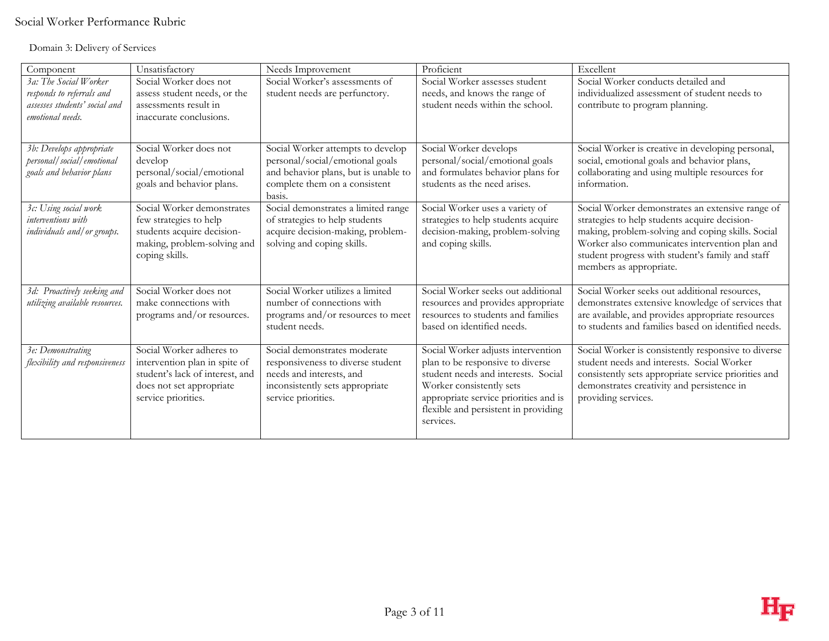## Domain 3: Delivery of Services

| Component                                                                                               | Unsatisfactory                                                                                                                                  | Needs Improvement                                                                                                                                       | Proficient                                                                                                                                                                                                                              | Excellent                                                                                                                                                                                                                                                                               |
|---------------------------------------------------------------------------------------------------------|-------------------------------------------------------------------------------------------------------------------------------------------------|---------------------------------------------------------------------------------------------------------------------------------------------------------|-----------------------------------------------------------------------------------------------------------------------------------------------------------------------------------------------------------------------------------------|-----------------------------------------------------------------------------------------------------------------------------------------------------------------------------------------------------------------------------------------------------------------------------------------|
| 3a: The Social Worker<br>responds to referrals and<br>assesses students' social and<br>emotional needs. | Social Worker does not<br>assess student needs, or the<br>assessments result in<br>inaccurate conclusions.                                      | Social Worker's assessments of<br>student needs are perfunctory.                                                                                        | Social Worker assesses student<br>needs, and knows the range of<br>student needs within the school.                                                                                                                                     | Social Worker conducts detailed and<br>individualized assessment of student needs to<br>contribute to program planning.                                                                                                                                                                 |
| 3b: Develops appropriate<br>personal/social/emotional<br>goals and behavior plans                       | Social Worker does not<br>develop<br>personal/social/emotional<br>goals and behavior plans.                                                     | Social Worker attempts to develop<br>personal/social/emotional goals<br>and behavior plans, but is unable to<br>complete them on a consistent<br>basis. | Social Worker develops<br>personal/social/emotional goals<br>and formulates behavior plans for<br>students as the need arises.                                                                                                          | Social Worker is creative in developing personal,<br>social, emotional goals and behavior plans,<br>collaborating and using multiple resources for<br>information.                                                                                                                      |
| 3c: Using social work<br>interventions with<br>individuals and/ or groups.                              | Social Worker demonstrates<br>few strategies to help<br>students acquire decision-<br>making, problem-solving and<br>coping skills.             | Social demonstrates a limited range<br>of strategies to help students<br>acquire decision-making, problem-<br>solving and coping skills.                | Social Worker uses a variety of<br>strategies to help students acquire<br>decision-making, problem-solving<br>and coping skills.                                                                                                        | Social Worker demonstrates an extensive range of<br>strategies to help students acquire decision-<br>making, problem-solving and coping skills. Social<br>Worker also communicates intervention plan and<br>student progress with student's family and staff<br>members as appropriate. |
| 3d: Proactively seeking and<br>utilizing available resources.                                           | Social Worker does not<br>make connections with<br>programs and/or resources.                                                                   | Social Worker utilizes a limited<br>number of connections with<br>programs and/or resources to meet<br>student needs.                                   | Social Worker seeks out additional<br>resources and provides appropriate<br>resources to students and families<br>based on identified needs.                                                                                            | Social Worker seeks out additional resources,<br>demonstrates extensive knowledge of services that<br>are available, and provides appropriate resources<br>to students and families based on identified needs.                                                                          |
| 3e: Demonstrating<br>flexibility and responsiveness                                                     | Social Worker adheres to<br>intervention plan in spite of<br>student's lack of interest, and<br>does not set appropriate<br>service priorities. | Social demonstrates moderate<br>responsiveness to diverse student<br>needs and interests, and<br>inconsistently sets appropriate<br>service priorities. | Social Worker adjusts intervention<br>plan to be responsive to diverse<br>student needs and interests. Social<br>Worker consistently sets<br>appropriate service priorities and is<br>flexible and persistent in providing<br>services. | Social Worker is consistently responsive to diverse<br>student needs and interests. Social Worker<br>consistently sets appropriate service priorities and<br>demonstrates creativity and persistence in<br>providing services.                                                          |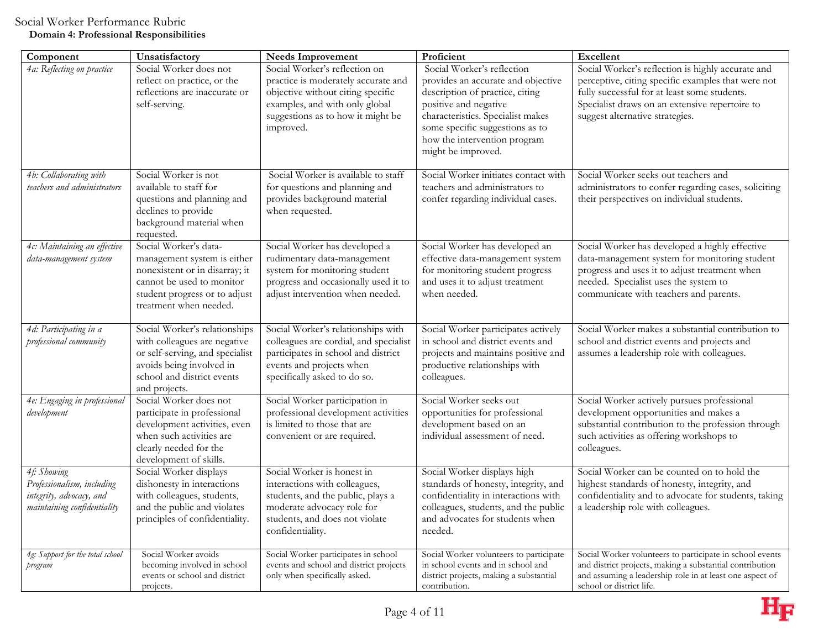| Component                                                                                            | Unsatisfactory                                                                                                                                                                 | <b>Needs Improvement</b>                                                                                                                                                                      | Proficient                                                                                                                                                                                                                                                 | Excellent                                                                                                                                                                                                                                    |
|------------------------------------------------------------------------------------------------------|--------------------------------------------------------------------------------------------------------------------------------------------------------------------------------|-----------------------------------------------------------------------------------------------------------------------------------------------------------------------------------------------|------------------------------------------------------------------------------------------------------------------------------------------------------------------------------------------------------------------------------------------------------------|----------------------------------------------------------------------------------------------------------------------------------------------------------------------------------------------------------------------------------------------|
| 4a: Reflecting on practice                                                                           | Social Worker does not<br>reflect on practice, or the<br>reflections are inaccurate or<br>self-serving.                                                                        | Social Worker's reflection on<br>practice is moderately accurate and<br>objective without citing specific<br>examples, and with only global<br>suggestions as to how it might be<br>improved. | Social Worker's reflection<br>provides an accurate and objective<br>description of practice, citing<br>positive and negative<br>characteristics. Specialist makes<br>some specific suggestions as to<br>how the intervention program<br>might be improved. | Social Worker's reflection is highly accurate and<br>perceptive, citing specific examples that were not<br>fully successful for at least some students.<br>Specialist draws on an extensive repertoire to<br>suggest alternative strategies. |
| 4b: Collaborating with<br>teachers and administrators                                                | Social Worker is not<br>available to staff for<br>questions and planning and<br>declines to provide<br>background material when<br>requested.                                  | Social Worker is available to staff<br>for questions and planning and<br>provides background material<br>when requested.                                                                      | Social Worker initiates contact with<br>teachers and administrators to<br>confer regarding individual cases.                                                                                                                                               | Social Worker seeks out teachers and<br>administrators to confer regarding cases, soliciting<br>their perspectives on individual students.                                                                                                   |
| 4c: Maintaining an effective<br>data-management system                                               | Social Worker's data-<br>management system is either<br>nonexistent or in disarray; it<br>cannot be used to monitor<br>student progress or to adjust<br>treatment when needed. | Social Worker has developed a<br>rudimentary data-management<br>system for monitoring student<br>progress and occasionally used it to<br>adjust intervention when needed.                     | Social Worker has developed an<br>effective data-management system<br>for monitoring student progress<br>and uses it to adjust treatment<br>when needed.                                                                                                   | Social Worker has developed a highly effective<br>data-management system for monitoring student<br>progress and uses it to adjust treatment when<br>needed. Specialist uses the system to<br>communicate with teachers and parents.          |
| 4d: Participating in a<br>professional community                                                     | Social Worker's relationships<br>with colleagues are negative<br>or self-serving, and specialist<br>avoids being involved in<br>school and district events<br>and projects.    | Social Worker's relationships with<br>colleagues are cordial, and specialist<br>participates in school and district<br>events and projects when<br>specifically asked to do so.               | Social Worker participates actively<br>in school and district events and<br>projects and maintains positive and<br>productive relationships with<br>colleagues.                                                                                            | Social Worker makes a substantial contribution to<br>school and district events and projects and<br>assumes a leadership role with colleagues.                                                                                               |
| 4e: Engaging in professional<br>development                                                          | Social Worker does not<br>participate in professional<br>development activities, even<br>when such activities are<br>clearly needed for the<br>development of skills.          | Social Worker participation in<br>professional development activities<br>is limited to those that are<br>convenient or are required.                                                          | Social Worker seeks out<br>opportunities for professional<br>development based on an<br>individual assessment of need.                                                                                                                                     | Social Worker actively pursues professional<br>development opportunities and makes a<br>substantial contribution to the profession through<br>such activities as offering workshops to<br>colleagues.                                        |
| 4f: Showing<br>Professionalism, including<br>integrity, advocacy, and<br>maintaining confidentiality | Social Worker displays<br>dishonesty in interactions<br>with colleagues, students,<br>and the public and violates<br>principles of confidentiality.                            | Social Worker is honest in<br>interactions with colleagues,<br>students, and the public, plays a<br>moderate advocacy role for<br>students, and does not violate<br>confidentiality.          | Social Worker displays high<br>standards of honesty, integrity, and<br>confidentiality in interactions with<br>colleagues, students, and the public<br>and advocates for students when<br>needed.                                                          | Social Worker can be counted on to hold the<br>highest standards of honesty, integrity, and<br>confidentiality and to advocate for students, taking<br>a leadership role with colleagues.                                                    |
| 4g: Support for the total school<br>program                                                          | Social Worker avoids<br>becoming involved in school<br>events or school and district<br>projects.                                                                              | Social Worker participates in school<br>events and school and district projects<br>only when specifically asked.                                                                              | Social Worker volunteers to participate<br>in school events and in school and<br>district projects, making a substantial<br>contribution.                                                                                                                  | Social Worker volunteers to participate in school events<br>and district projects, making a substantial contribution<br>and assuming a leadership role in at least one aspect of<br>school or district life.                                 |

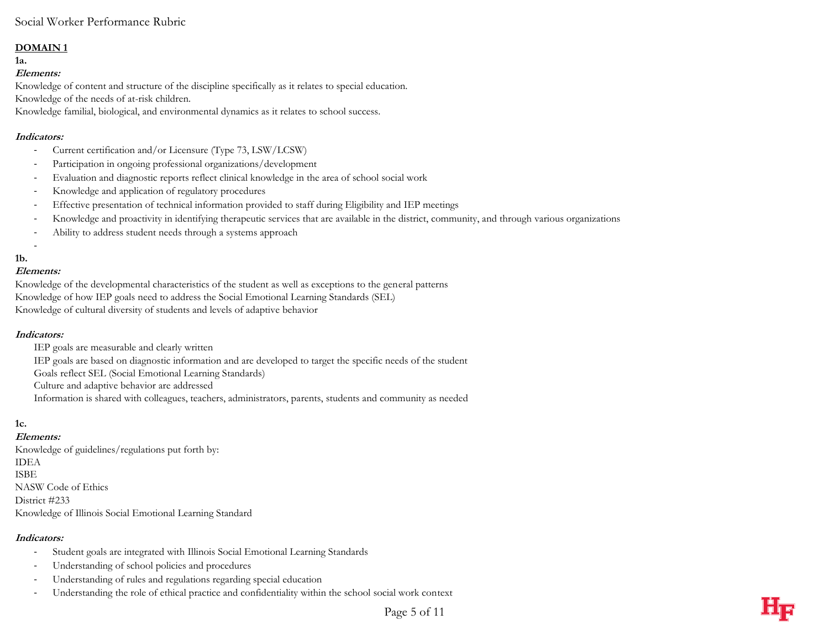## **DOMAIN 1**

**1a.** 

## **Elements:**

Knowledge of content and structure of the discipline specifically as it relates to special education. Knowledge of the needs of at-risk children.

Knowledge familial, biological, and environmental dynamics as it relates to school success.

## **Indicators:**

- Current certification and/or Licensure (Type 73, LSW/LCSW)
- Participation in ongoing professional organizations/development
- Evaluation and diagnostic reports reflect clinical knowledge in the area of school social work
- Knowledge and application of regulatory procedures
- Effective presentation of technical information provided to staff during Eligibility and IEP meetings
- Knowledge and proactivity in identifying therapeutic services that are available in the district, community, and through various organizations
- Ability to address student needs through a systems approach

## **1b.**

### **Elements:**

-

Knowledge of the developmental characteristics of the student as well as exceptions to the general patterns Knowledge of how IEP goals need to address the Social Emotional Learning Standards (SEL) Knowledge of cultural diversity of students and levels of adaptive behavior

### **Indicators:**

- IEP goals are measurable and clearly written
- IEP goals are based on diagnostic information and are developed to target the specific needs of the student
- Goals reflect SEL (Social Emotional Learning Standards)
- Culture and adaptive behavior are addressed
- Information is shared with colleagues, teachers, administrators, parents, students and community as needed

## **1c.**

**Elements:** Knowledge of guidelines/regulations put forth by: IDEA ISBE NASW Code of Ethics District #233

Knowledge of Illinois Social Emotional Learning Standard

## **Indicators:**

- Student goals are integrated with Illinois Social Emotional Learning Standards
- Understanding of school policies and procedures
- Understanding of rules and regulations regarding special education
- Understanding the role of ethical practice and confidentiality within the school social work context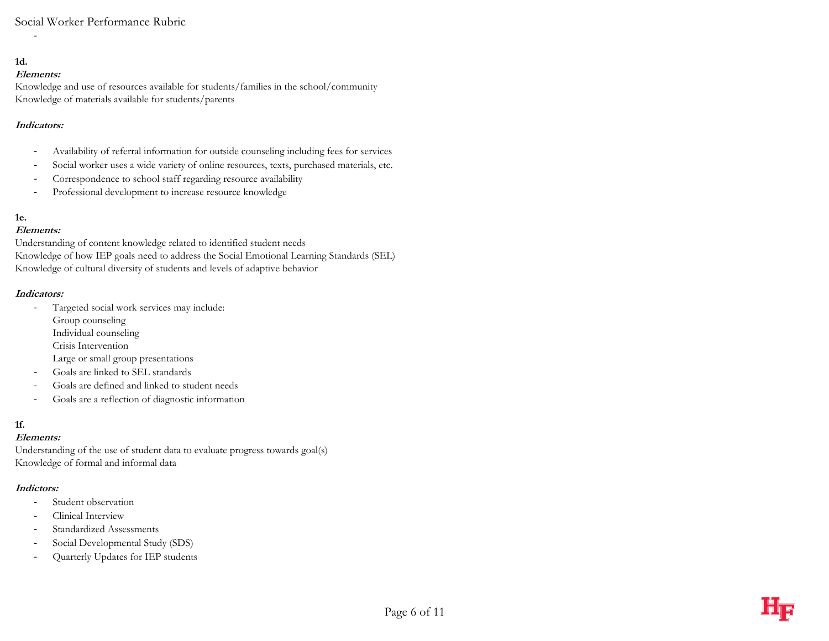## **1d.**

## **Elements:**

-

Knowledge and use of resources available for students/families in the school/community Knowledge of materials available for students/parents

## **Indicators:**

- Availability of referral information for outside counseling including fees for services
- Social worker uses a wide variety of online resources, texts, purchased materials, etc.
- Correspondence to school staff regarding resource availability
- Professional development to increase resource knowledge

## **1e.**

## **Elements:**

Understanding of content knowledge related to identified student needs Knowledge of how IEP goals need to address the Social Emotional Learning Standards (SEL) Knowledge of cultural diversity of students and levels of adaptive behavior

### **Indicators:**

- Targeted social work services may include:
	- Group counseling
	- Individual counseling
	- Crisis Intervention
	- Large or small group presentations
- Goals are linked to SEL standards
- Goals are defined and linked to student needs
- Goals are a reflection of diagnostic information

## **1f.**

## **Elements:**

Understanding of the use of student data to evaluate progress towards goal(s) Knowledge of formal and informal data

## **Indictors:**

- Student observation
- Clinical Interview
- Standardized Assessments
- Social Developmental Study (SDS)
- Quarterly Updates for IEP students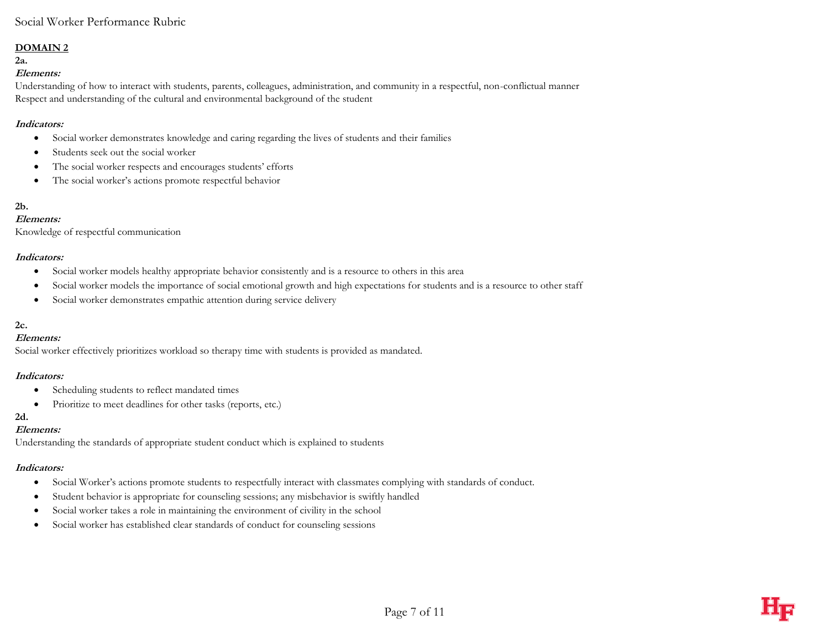### **DOMAIN 2**

**2a.**

### **Elements:**

Understanding of how to interact with students, parents, colleagues, administration, and community in a respectful, non-conflictual manner Respect and understanding of the cultural and environmental background of the student

#### **Indicators:**

- Social worker demonstrates knowledge and caring regarding the lives of students and their families
- Students seek out the social worker
- The social worker respects and encourages students' efforts
- The social worker's actions promote respectful behavior

## **2b.**

#### **Elements:**

Knowledge of respectful communication

### **Indicators:**

- Social worker models healthy appropriate behavior consistently and is a resource to others in this area
- Social worker models the importance of social emotional growth and high expectations for students and is a resource to other staff
- Social worker demonstrates empathic attention during service delivery

## **2c.**

#### **Elements:**

Social worker effectively prioritizes workload so therapy time with students is provided as mandated.

#### **Indicators:**

- Scheduling students to reflect mandated times
- Prioritize to meet deadlines for other tasks (reports, etc.)

### **2d.**

#### **Elements:**

Understanding the standards of appropriate student conduct which is explained to students

#### **Indicators:**

- Social Worker's actions promote students to respectfully interact with classmates complying with standards of conduct.
- Student behavior is appropriate for counseling sessions; any misbehavior is swiftly handled
- Social worker takes a role in maintaining the environment of civility in the school
- Social worker has established clear standards of conduct for counseling sessions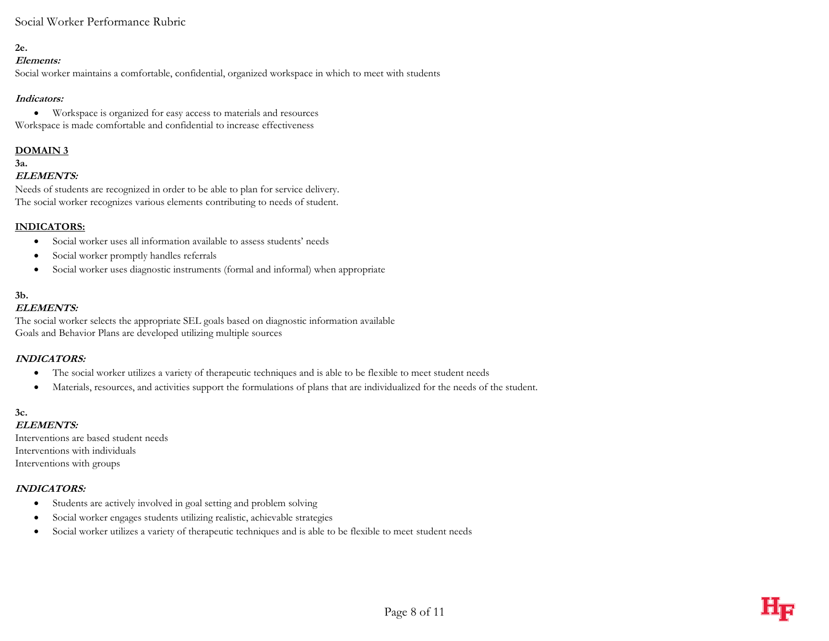## **2e.**

#### **Elements:**

Social worker maintains a comfortable, confidential, organized workspace in which to meet with students

## **Indicators:**

 Workspace is organized for easy access to materials and resources Workspace is made comfortable and confidential to increase effectiveness

## **DOMAIN 3**

## **3a.**

## **ELEMENTS:**

Needs of students are recognized in order to be able to plan for service delivery. The social worker recognizes various elements contributing to needs of student.

## **INDICATORS:**

- Social worker uses all information available to assess students' needs
- Social worker promptly handles referrals
- Social worker uses diagnostic instruments (formal and informal) when appropriate

## **3b.**

## **ELEMENTS:**

The social worker selects the appropriate SEL goals based on diagnostic information available Goals and Behavior Plans are developed utilizing multiple sources

## **INDICATORS:**

- The social worker utilizes a variety of therapeutic techniques and is able to be flexible to meet student needs
- Materials, resources, and activities support the formulations of plans that are individualized for the needs of the student.

# **3c.**

## **ELEMENTS:**

Interventions are based student needs Interventions with individuals Interventions with groups

### **INDICATORS:**

- Students are actively involved in goal setting and problem solving
- Social worker engages students utilizing realistic, achievable strategies
- Social worker utilizes a variety of therapeutic techniques and is able to be flexible to meet student needs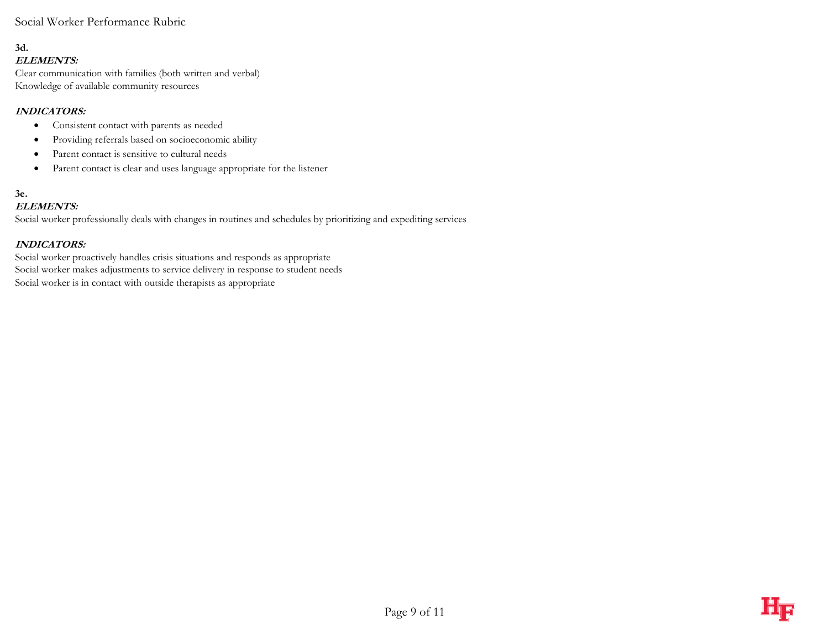#### **3d. ELEMENTS:**

Clear communication with families (both written and verbal) Knowledge of available community resources

## **INDICATORS:**

- Consistent contact with parents as needed
- Providing referrals based on socioeconomic ability
- Parent contact is sensitive to cultural needs
- Parent contact is clear and uses language appropriate for the listener

#### **3e. ELEMENTS:**

Social worker professionally deals with changes in routines and schedules by prioritizing and expediting services

## **INDICATORS:**

Social worker proactively handles crisis situations and responds as appropriate Social worker makes adjustments to service delivery in response to student needs Social worker is in contact with outside therapists as appropriate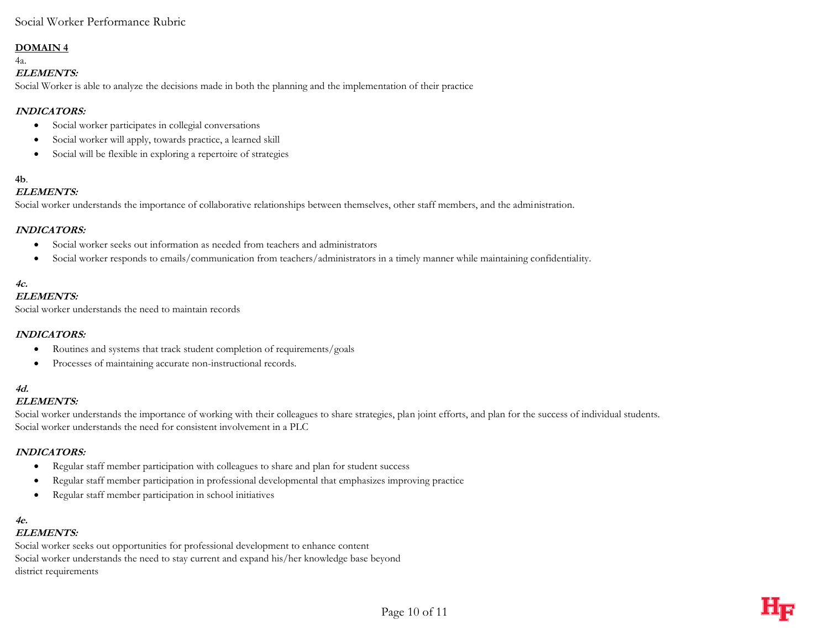### **DOMAIN 4**

4a.

#### **ELEMENTS:**

Social Worker is able to analyze the decisions made in both the planning and the implementation of their practice

## **INDICATORS:**

- Social worker participates in collegial conversations
- Social worker will apply, towards practice, a learned skill
- Social will be flexible in exploring a repertoire of strategies

# **4b**.

### **ELEMENTS:**

Social worker understands the importance of collaborative relationships between themselves, other staff members, and the administration.

## **INDICATORS:**

- Social worker seeks out information as needed from teachers and administrators
- Social worker responds to emails/communication from teachers/administrators in a timely manner while maintaining confidentiality.

# **4c.**

## **ELEMENTS:**

Social worker understands the need to maintain records

### **INDICATORS:**

- Routines and systems that track student completion of requirements/goals
- Processes of maintaining accurate non-instructional records.

## **4d.**

### **ELEMENTS:**

Social worker understands the importance of working with their colleagues to share strategies, plan joint efforts, and plan for the success of individual students. Social worker understands the need for consistent involvement in a PLC

### **INDICATORS:**

- Regular staff member participation with colleagues to share and plan for student success
- Regular staff member participation in professional developmental that emphasizes improving practice
- Regular staff member participation in school initiatives

## **4e.**

#### **ELEMENTS:**

Social worker seeks out opportunities for professional development to enhance content Social worker understands the need to stay current and expand his/her knowledge base beyond district requirements